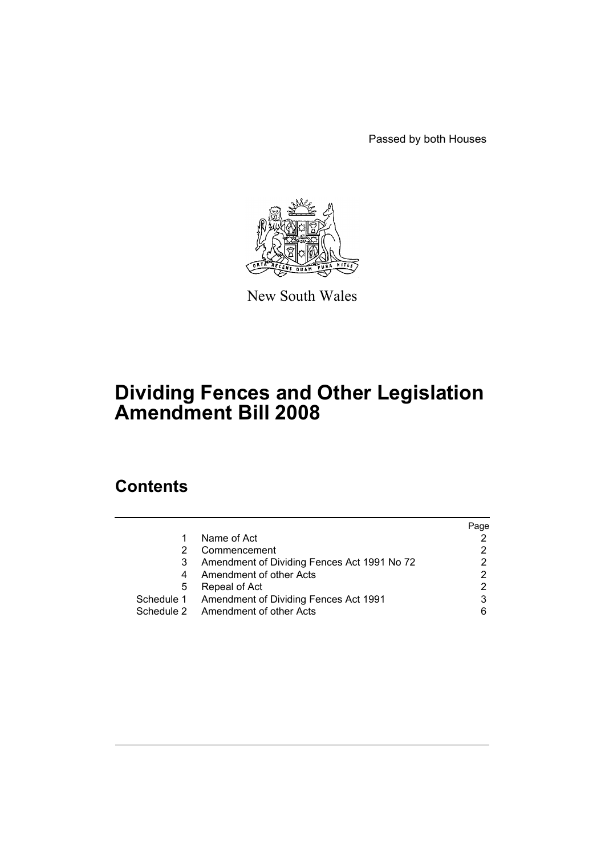Passed by both Houses



New South Wales

# **Dividing Fences and Other Legislation Amendment Bill 2008**

## **Contents**

|   |                                                  | Page |
|---|--------------------------------------------------|------|
| 1 | Name of Act                                      |      |
| 2 | Commencement                                     |      |
| 3 | Amendment of Dividing Fences Act 1991 No 72      |      |
| 4 | Amendment of other Acts                          |      |
| 5 | Repeal of Act                                    |      |
|   | Schedule 1 Amendment of Dividing Fences Act 1991 | 3    |
|   | Schedule 2 Amendment of other Acts               | 6    |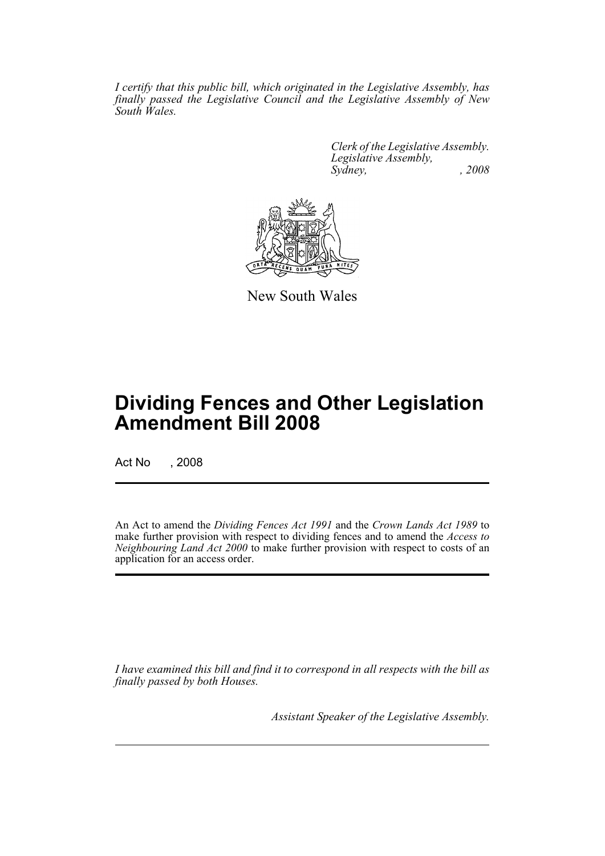*I certify that this public bill, which originated in the Legislative Assembly, has finally passed the Legislative Council and the Legislative Assembly of New South Wales.*

> *Clerk of the Legislative Assembly. Legislative Assembly, Sydney, , 2008*



New South Wales

## **Dividing Fences and Other Legislation Amendment Bill 2008**

Act No , 2008

An Act to amend the *Dividing Fences Act 1991* and the *Crown Lands Act 1989* to make further provision with respect to dividing fences and to amend the *Access to Neighbouring Land Act 2000* to make further provision with respect to costs of an application for an access order.

*I have examined this bill and find it to correspond in all respects with the bill as finally passed by both Houses.*

*Assistant Speaker of the Legislative Assembly.*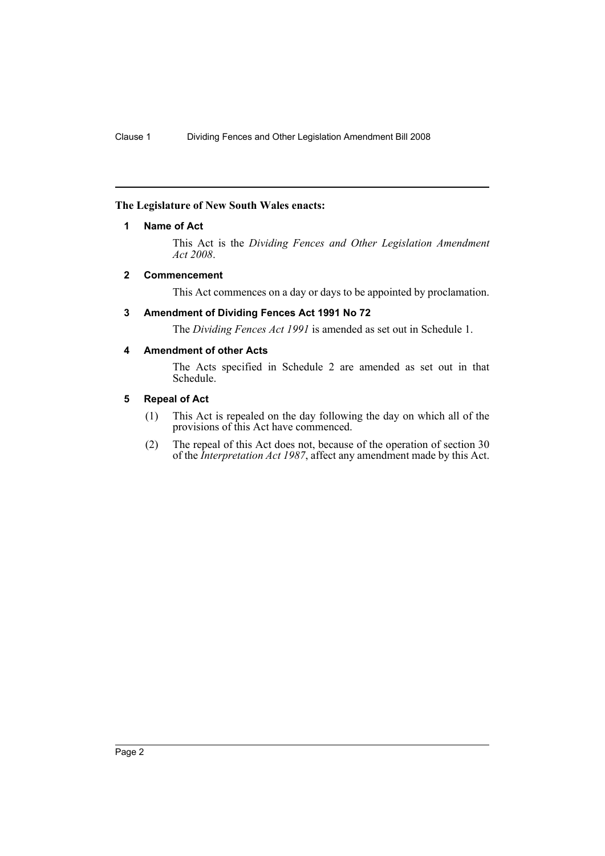### <span id="page-2-0"></span>**The Legislature of New South Wales enacts:**

#### **1 Name of Act**

This Act is the *Dividing Fences and Other Legislation Amendment Act 2008*.

### <span id="page-2-1"></span>**2 Commencement**

This Act commences on a day or days to be appointed by proclamation.

#### <span id="page-2-2"></span>**3 Amendment of Dividing Fences Act 1991 No 72**

The *Dividing Fences Act 1991* is amended as set out in Schedule 1.

### <span id="page-2-3"></span>**4 Amendment of other Acts**

The Acts specified in Schedule 2 are amended as set out in that Schedule.

### <span id="page-2-4"></span>**5 Repeal of Act**

- (1) This Act is repealed on the day following the day on which all of the provisions of this Act have commenced.
- (2) The repeal of this Act does not, because of the operation of section 30 of the *Interpretation Act 1987*, affect any amendment made by this Act.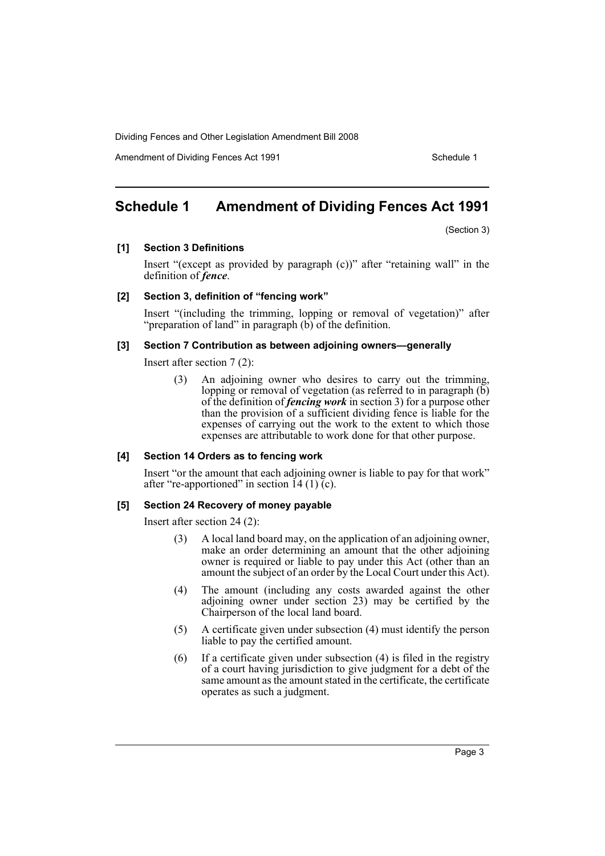Amendment of Dividing Fences Act 1991 Schedule 1

### <span id="page-3-0"></span>**Schedule 1 Amendment of Dividing Fences Act 1991**

(Section 3)

**[1] Section 3 Definitions**

Insert "(except as provided by paragraph (c))" after "retaining wall" in the definition of *fence*.

### **[2] Section 3, definition of "fencing work"**

Insert "(including the trimming, lopping or removal of vegetation)" after "preparation of land" in paragraph (b) of the definition.

#### **[3] Section 7 Contribution as between adjoining owners—generally**

Insert after section 7 (2):

(3) An adjoining owner who desires to carry out the trimming, lopping or removal of vegetation (as referred to in paragraph (b) of the definition of *fencing work* in section 3) for a purpose other than the provision of a sufficient dividing fence is liable for the expenses of carrying out the work to the extent to which those expenses are attributable to work done for that other purpose.

### **[4] Section 14 Orders as to fencing work**

Insert "or the amount that each adjoining owner is liable to pay for that work" after "re-apportioned" in section  $14(1)\,\mathrm{C}$ .

### **[5] Section 24 Recovery of money payable**

Insert after section 24 (2):

- (3) A local land board may, on the application of an adjoining owner, make an order determining an amount that the other adjoining owner is required or liable to pay under this Act (other than an amount the subject of an order by the Local Court under this Act).
- (4) The amount (including any costs awarded against the other adjoining owner under section 23) may be certified by the Chairperson of the local land board.
- (5) A certificate given under subsection (4) must identify the person liable to pay the certified amount.
- (6) If a certificate given under subsection (4) is filed in the registry of a court having jurisdiction to give judgment for a debt of the same amount as the amount stated in the certificate, the certificate operates as such a judgment.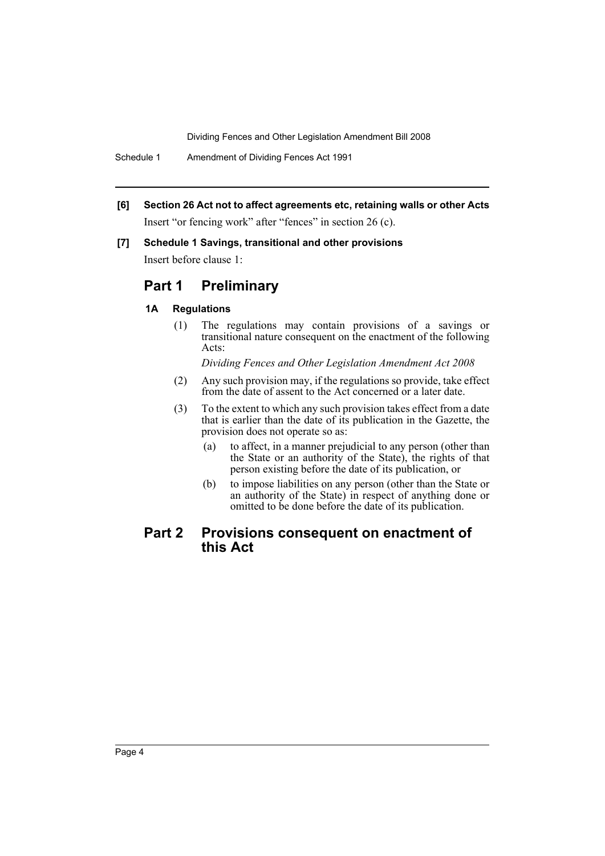Schedule 1 Amendment of Dividing Fences Act 1991

**[6] Section 26 Act not to affect agreements etc, retaining walls or other Acts** Insert "or fencing work" after "fences" in section 26 (c).

### **[7] Schedule 1 Savings, transitional and other provisions**

Insert before clause 1:

### **Part 1 Preliminary**

### **1A Regulations**

(1) The regulations may contain provisions of a savings or transitional nature consequent on the enactment of the following Acts:

*Dividing Fences and Other Legislation Amendment Act 2008*

- (2) Any such provision may, if the regulations so provide, take effect from the date of assent to the Act concerned or a later date.
- (3) To the extent to which any such provision takes effect from a date that is earlier than the date of its publication in the Gazette, the provision does not operate so as:
	- (a) to affect, in a manner prejudicial to any person (other than the State or an authority of the State), the rights of that person existing before the date of its publication, or
	- (b) to impose liabilities on any person (other than the State or an authority of the State) in respect of anything done or omitted to be done before the date of its publication.

### **Part 2 Provisions consequent on enactment of this Act**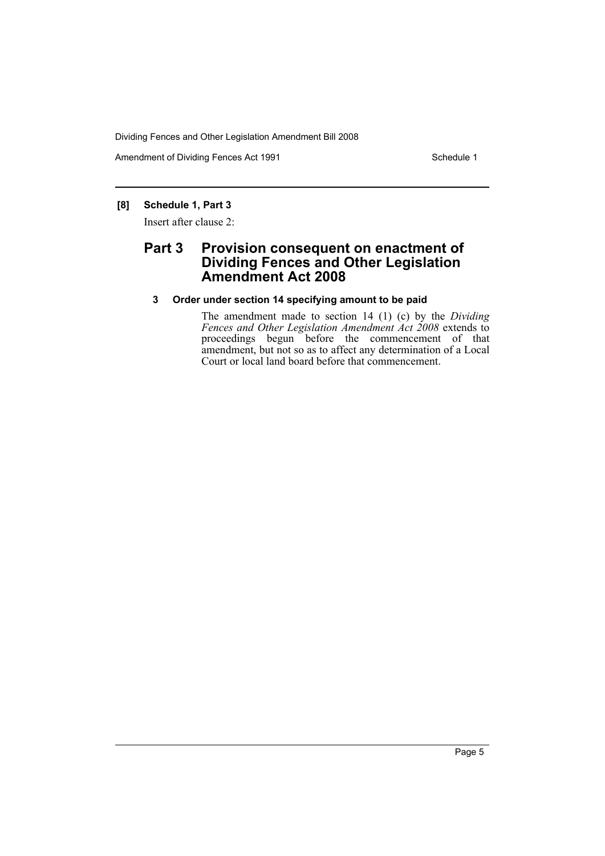Amendment of Dividing Fences Act 1991 Schedule 1

### **[8] Schedule 1, Part 3**

Insert after clause 2:

### **Part 3 Provision consequent on enactment of Dividing Fences and Other Legislation Amendment Act 2008**

### **3 Order under section 14 specifying amount to be paid**

The amendment made to section 14 (1) (c) by the *Dividing Fences and Other Legislation Amendment Act 2008* extends to proceedings begun before the commencement of that amendment, but not so as to affect any determination of a Local Court or local land board before that commencement.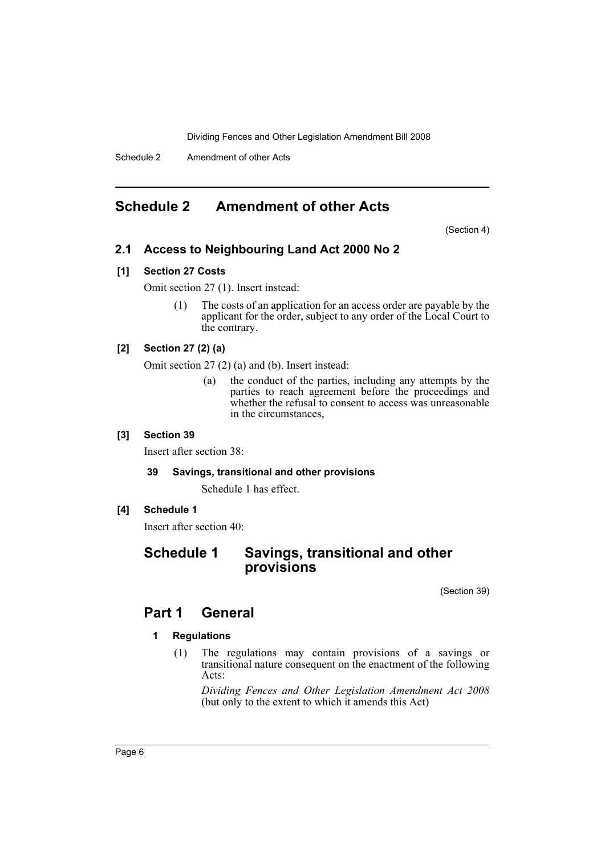Schedule 2 Amendment of other Acts

### <span id="page-6-0"></span>**Schedule 2 Amendment of other Acts**

(Section 4)

### **2.1 Access to Neighbouring Land Act 2000 No 2**

### **[1] Section 27 Costs**

Omit section 27 (1). Insert instead:

(1) The costs of an application for an access order are payable by the applicant for the order, subject to any order of the Local Court to the contrary.

### **[2] Section 27 (2) (a)**

Omit section 27 (2) (a) and (b). Insert instead:

(a) the conduct of the parties, including any attempts by the parties to reach agreement before the proceedings and whether the refusal to consent to access was unreasonable in the circumstances,

### **[3] Section 39**

Insert after section 38:

### **39 Savings, transitional and other provisions**

Schedule 1 has effect.

### **[4] Schedule 1**

Insert after section 40:

### **Schedule 1 Savings, transitional and other provisions**

(Section 39)

### **Part 1 General**

### **1 Regulations**

(1) The regulations may contain provisions of a savings or transitional nature consequent on the enactment of the following Acts:

*Dividing Fences and Other Legislation Amendment Act 2008* (but only to the extent to which it amends this Act)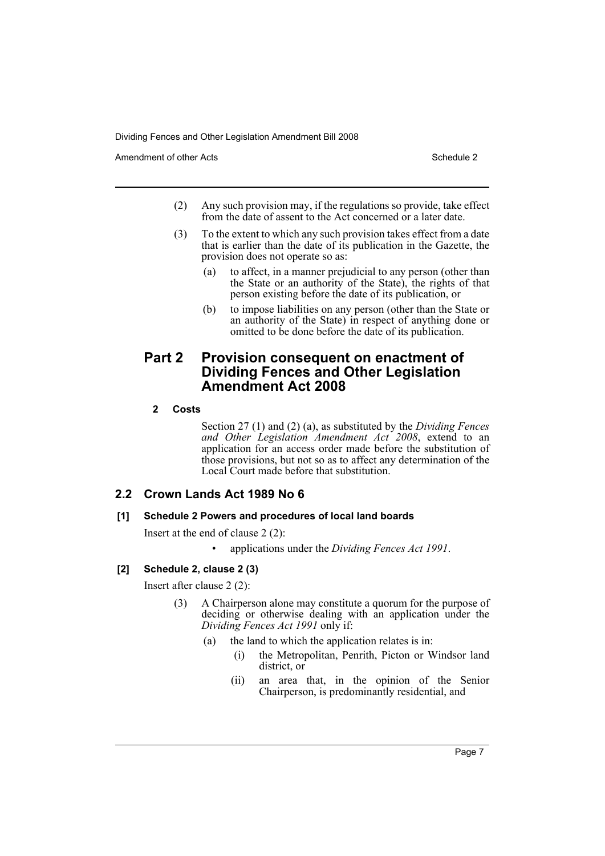Amendment of other Acts **Schedule 2** and the 2 and the 2 and 2 and 2 and 2 and 2 and 2 and 2 and 2 and 2 and 2 and 2 and 2 and 2 and 2 and 2 and 2 and 2 and 2 and 2 and 2 and 2 and 2 and 2 and 2 and 2 and 2 and 2 and 2 and

- (2) Any such provision may, if the regulations so provide, take effect from the date of assent to the Act concerned or a later date.
- (3) To the extent to which any such provision takes effect from a date that is earlier than the date of its publication in the Gazette, the provision does not operate so as:
	- (a) to affect, in a manner prejudicial to any person (other than the State or an authority of the State), the rights of that person existing before the date of its publication, or
	- (b) to impose liabilities on any person (other than the State or an authority of the State) in respect of anything done or omitted to be done before the date of its publication.

### **Part 2 Provision consequent on enactment of Dividing Fences and Other Legislation Amendment Act 2008**

### **2 Costs**

Section 27 (1) and (2) (a), as substituted by the *Dividing Fences and Other Legislation Amendment Act 2008*, extend to an application for an access order made before the substitution of those provisions, but not so as to affect any determination of the Local Court made before that substitution.

### **2.2 Crown Lands Act 1989 No 6**

### **[1] Schedule 2 Powers and procedures of local land boards**

Insert at the end of clause 2 (2):

• applications under the *Dividing Fences Act 1991*.

### **[2] Schedule 2, clause 2 (3)**

Insert after clause 2 (2):

- (3) A Chairperson alone may constitute a quorum for the purpose of deciding or otherwise dealing with an application under the *Dividing Fences Act 1991* only if:
	- (a) the land to which the application relates is in:
		- (i) the Metropolitan, Penrith, Picton or Windsor land district, or
		- (ii) an area that, in the opinion of the Senior Chairperson, is predominantly residential, and